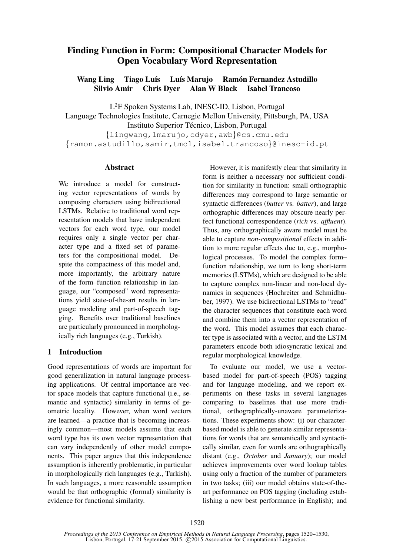# Finding Function in Form: Compositional Character Models for Open Vocabulary Word Representation

Wang Ling Tiago Luís Luís Marujo Ramón Fernandez Astudillo Silvio Amir Chris Dyer Alan W Black Isabel Trancoso

L <sup>2</sup>F Spoken Systems Lab, INESC-ID, Lisbon, Portugal Language Technologies Institute, Carnegie Mellon University, Pittsburgh, PA, USA Instituto Superior Técnico, Lisbon, Portugal

{lingwang,lmarujo,cdyer,awb}@cs.cmu.edu {ramon.astudillo,samir,tmcl,isabel.trancoso}@inesc-id.pt

### **Abstract**

We introduce a model for constructing vector representations of words by composing characters using bidirectional LSTMs. Relative to traditional word representation models that have independent vectors for each word type, our model requires only a single vector per character type and a fixed set of parameters for the compositional model. Despite the compactness of this model and, more importantly, the arbitrary nature of the form–function relationship in language, our "composed" word representations yield state-of-the-art results in language modeling and part-of-speech tagging. Benefits over traditional baselines are particularly pronounced in morphologically rich languages (e.g., Turkish).

### 1 Introduction

Good representations of words are important for good generalization in natural language processing applications. Of central importance are vector space models that capture functional (i.e., semantic and syntactic) similarity in terms of geometric locality. However, when word vectors are learned—a practice that is becoming increasingly common—most models assume that each word type has its own vector representation that can vary independently of other model components. This paper argues that this independence assumption is inherently problematic, in particular in morphologically rich languages (e.g., Turkish). In such languages, a more reasonable assumption would be that orthographic (formal) similarity is evidence for functional similarity.

However, it is manifestly clear that similarity in form is neither a necessary nor sufficient condition for similarity in function: small orthographic differences may correspond to large semantic or syntactic differences (*butter* vs. *batter*), and large orthographic differences may obscure nearly perfect functional correspondence (*rich* vs. *affluent*). Thus, any orthographically aware model must be able to capture *non-compositional* effects in addition to more regular effects due to, e.g., morphological processes. To model the complex form– function relationship, we turn to long short-term memories (LSTMs), which are designed to be able to capture complex non-linear and non-local dynamics in sequences (Hochreiter and Schmidhuber, 1997). We use bidirectional LSTMs to "read" the character sequences that constitute each word and combine them into a vector representation of the word. This model assumes that each character type is associated with a vector, and the LSTM parameters encode both idiosyncratic lexical and regular morphological knowledge.

To evaluate our model, we use a vectorbased model for part-of-speech (POS) tagging and for language modeling, and we report experiments on these tasks in several languages comparing to baselines that use more traditional, orthographically-unaware parameterizations. These experiments show: (i) our characterbased model is able to generate similar representations for words that are semantically and syntactically similar, even for words are orthographically distant (e.g., *October* and *January*); our model achieves improvements over word lookup tables using only a fraction of the number of parameters in two tasks; (iii) our model obtains state-of-theart performance on POS tagging (including establishing a new best performance in English); and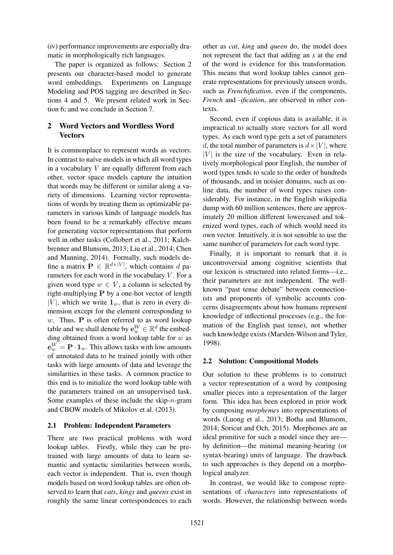(iv) performance improvements are especially dramatic in morphologically rich languages.

The paper is organized as follows: Section 2 presents our character-based model to generate word embeddings. Experiments on Language Modeling and POS tagging are described in Sections 4 and 5. We present related work in Section 6; and we conclude in Section 7.

# 2 Word Vectors and Wordless Word **Vectors**

It is commonplace to represent words as vectors. In contrast to naïve models in which all word types in a vocabulary  $V$  are equally different from each other, vector space models capture the intuition that words may be different or similar along a variety of dimensions. Learning vector representations of words by treating them as optimizable parameters in various kinds of language models has been found to be a remarkably effective means for generating vector representations that perform well in other tasks (Collobert et al., 2011; Kalchbrenner and Blunsom, 2013; Liu et al., 2014; Chen and Manning, 2014). Formally, such models define a matrix  $\mathbf{P} \in \mathbb{R}^{d \times |V|}$ , which contains d parameters for each word in the vocabulary  $V$ . For a given word type  $w \in V$ , a column is selected by right-multiplying P by a one-hot vector of length  $|V|$ , which we write  $\mathbf{1}_w$ , that is zero in every dimension except for the element corresponding to  $w$ . Thus,  $P$  is often referred to as word lookup table and we shall denote by  $\mathbf{e}^W_w \in \mathbb{R}^d$  the embedding obtained from a word lookup table for  $w$  as  $\mathbf{e}^W_w = \mathbf{P} \cdot \mathbf{1}_w.$  This allows tasks with low amounts of annotated data to be trained jointly with other tasks with large amounts of data and leverage the similarities in these tasks. A common practice to this end is to initialize the word lookup table with the parameters trained on an unsupervised task. Some examples of these include the skip- $n$ -gram and CBOW models of Mikolov et al. (2013).

#### 2.1 Problem: Independent Parameters

There are two practical problems with word lookup tables. Firstly, while they can be pretrained with large amounts of data to learn semantic and syntactic similarities between words, each vector is independent. That is, even though models based on word lookup tables are often observed to learn that *cats*, *kings* and *queens* exist in roughly the same linear correspondences to each

other as *cat*, *king* and *queen* do, the model does not represent the fact that adding an *s* at the end of the word is evidence for this transformation. This means that word lookup tables cannot generate representations for previously unseen words, such as *Frenchification*, even if the components, *French* and *-ification*, are observed in other contexts.

Second, even if copious data is available, it is impractical to actually store vectors for all word types. As each word type gets a set of parameters d, the total number of parameters is  $d \times |V|$ , where  $|V|$  is the size of the vocabulary. Even in relatively morphological poor English, the number of word types tends to scale to the order of hundreds of thousands, and in noisier domains, such as online data, the number of word types raises considerably. For instance, in the English wikipedia dump with 60 million sentences, there are approximately 20 million different lowercased and tokenized word types, each of which would need its own vector. Intuitively, it is not sensible to use the same number of parameters for each word type.

Finally, it is important to remark that it is uncontroversial among cognitive scientists that our lexicon is structured into related forms—i.e., their parameters are not independent. The wellknown "past tense debate" between connectionists and proponents of symbolic accounts concerns disagreements about how humans represent knowledge of inflectional processes (e.g., the formation of the English past tense), not whether such knowledge exists (Marslen-Wilson and Tyler, 1998).

#### 2.2 Solution: Compositional Models

Our solution to these problems is to construct a vector representation of a word by composing smaller pieces into a representation of the larger form. This idea has been explored in prior work by composing *morphemes* into representations of words (Luong et al., 2013; Botha and Blunsom, 2014; Soricut and Och, 2015). Morphemes are an ideal primitive for such a model since they are by definition—the minimal meaning-bearing (or syntax-bearing) units of language. The drawback to such approaches is they depend on a morphological analyzer.

In contrast, we would like to compose representations of *characters* into representations of words. However, the relationship between words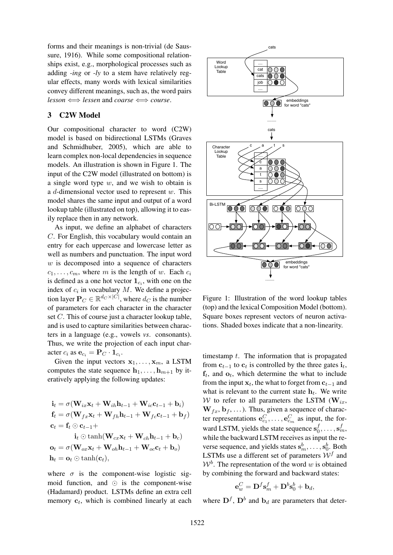forms and their meanings is non-trivial (de Saussure, 1916). While some compositional relationships exist, e.g., morphological processes such as adding *-ing* or *-ly* to a stem have relatively regular effects, many words with lexical similarities convey different meanings, such as, the word pairs  $lesson \iff lessen$  and *coarse*  $\iff course.$ 

### 3 C2W Model

Our compositional character to word (C2W) model is based on bidirectional LSTMs (Graves and Schmidhuber, 2005), which are able to learn complex non-local dependencies in sequence models. An illustration is shown in Figure 1. The input of the C2W model (illustrated on bottom) is a single word type  $w$ , and we wish to obtain is a d-dimensional vector used to represent  $w$ . This model shares the same input and output of a word lookup table (illustrated on top), allowing it to easily replace then in any network.

As input, we define an alphabet of characters C. For English, this vocabulary would contain an entry for each uppercase and lowercase letter as well as numbers and punctuation. The input word  $w$  is decomposed into a sequence of characters  $c_1, \ldots, c_m$ , where m is the length of w. Each  $c_i$ is defined as a one hot vector  $\mathbf{1}_{c_i}$ , with one on the index of  $c_i$  in vocabulary M. We define a projection layer  $P_C \in \mathbb{R}^{d_C \times |C|}$ , where  $d_C$  is the number of parameters for each character in the character set C. This of course just a character lookup table, and is used to capture similarities between characters in a language (e.g., vowels *vs*. consonants). Thus, we write the projection of each input character  $c_i$  as  $\mathbf{e}_{c_i} = \mathbf{P}_C \cdot \mathbf{1}_{c_i}$ .

Given the input vectors  $x_1, \ldots, x_m$ , a LSTM computes the state sequence  $\mathbf{h}_1, \ldots, \mathbf{h}_{m+1}$  by iteratively applying the following updates:

$$
\mathbf{i}_t = \sigma(\mathbf{W}_{ix}\mathbf{x}_t + \mathbf{W}_{ih}\mathbf{h}_{t-1} + \mathbf{W}_{ic}\mathbf{c}_{t-1} + \mathbf{b}_i)
$$
\n
$$
\mathbf{f}_t = \sigma(\mathbf{W}_{fx}\mathbf{x}_t + \mathbf{W}_{fh}\mathbf{h}_{t-1} + \mathbf{W}_{fc}\mathbf{c}_{t-1} + \mathbf{b}_f)
$$
\n
$$
\mathbf{c}_t = \mathbf{f}_t \odot \mathbf{c}_{t-1} +
$$
\n
$$
\mathbf{i}_t \odot \tanh(\mathbf{W}_{cx}\mathbf{x}_t + \mathbf{W}_{ch}\mathbf{h}_{t-1} + \mathbf{b}_c)
$$
\n
$$
\mathbf{o}_t = \sigma(\mathbf{W}_{ox}\mathbf{x}_t + \mathbf{W}_{oh}\mathbf{h}_{t-1} + \mathbf{W}_{oc}\mathbf{c}_t + \mathbf{b}_o)
$$
\n
$$
\mathbf{h}_t = \mathbf{o}_t \odot \tanh(\mathbf{c}_t),
$$

where  $\sigma$  is the component-wise logistic sigmoid function, and  $\odot$  is the component-wise (Hadamard) product. LSTMs define an extra cell memory  $c_t$ , which is combined linearly at each



Figure 1: Illustration of the word lookup tables (top) and the lexical Composition Model (bottom). Square boxes represent vectors of neuron activations. Shaded boxes indicate that a non-linearity.

timestamp  $t$ . The information that is propagated from  $c_{t-1}$  to  $c_t$  is controlled by the three gates  $\mathbf{i}_t$ ,  $f_t$ , and  $o_t$ , which determine the what to include from the input  $x_t$ , the what to forget from  $c_{t-1}$  and what is relevant to the current state  $h_t$ . We write W to refer to all parameters the LSTM ( $W_{ix}$ ,  $W_{fx}, b_f, \ldots$ ). Thus, given a sequence of character representations  $\mathbf{e}_{c_1}^C, \ldots, \mathbf{e}_{c_m}^C$  as input, the forward LSTM, yields the state sequence  $s_0^f$  $f_0^f,\ldots,\mathbf{s}_m^f,$ while the backward LSTM receives as input the reverse sequence, and yields states  $s_m^b, \ldots, s_0^b$ . Both LSTMs use a different set of parameters  $W<sup>f</sup>$  and  $W<sup>b</sup>$ . The representation of the word w is obtained by combining the forward and backward states:

$$
\mathbf{e}_w^C = \mathbf{D}^f \mathbf{s}_m^f + \mathbf{D}^b \mathbf{s}_0^b + \mathbf{b}_d,
$$

where  $\mathbf{D}^f$ ,  $\mathbf{D}^b$  and  $\mathbf{b}_d$  are parameters that deter-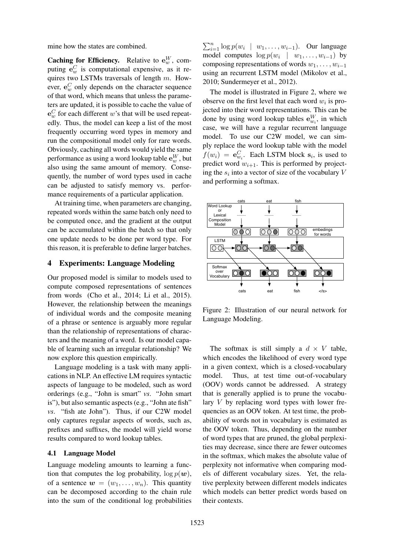mine how the states are combined.

**Caching for Efficiency.** Relative to  $e_w^W$ , computing  $e_w^C$  is computational expensive, as it requires two LSTMs traversals of length  $m$ . However,  $e_w^C$  only depends on the character sequence of that word, which means that unless the parameters are updated, it is possible to cache the value of  $e_w^C$  for each different w's that will be used repeatedly. Thus, the model can keep a list of the most frequently occurring word types in memory and run the compositional model only for rare words. Obviously, caching all words would yield the same performance as using a word lookup table  $\mathbf{e}^W_w$ , but also using the same amount of memory. Consequently, the number of word types used in cache can be adjusted to satisfy memory vs. performance requirements of a particular application.

At training time, when parameters are changing, repeated words within the same batch only need to be computed once, and the gradient at the output can be accumulated within the batch so that only one update needs to be done per word type. For this reason, it is preferable to define larger batches.

### 4 Experiments: Language Modeling

Our proposed model is similar to models used to compute composed representations of sentences from words (Cho et al., 2014; Li et al., 2015). However, the relationship between the meanings of individual words and the composite meaning of a phrase or sentence is arguably more regular than the relationship of representations of characters and the meaning of a word. Is our model capable of learning such an irregular relationship? We now explore this question empirically.

Language modeling is a task with many applications in NLP. An effective LM requires syntactic aspects of language to be modeled, such as word orderings (e.g., "John is smart" *vs*. "John smart is"), but also semantic aspects (e.g., "John ate fish" *vs*. "fish ate John"). Thus, if our C2W model only captures regular aspects of words, such as, prefixes and suffixes, the model will yield worse results compared to word lookup tables.

#### 4.1 Language Model

Language modeling amounts to learning a function that computes the log probability,  $\log p(\boldsymbol{w})$ , of a sentence  $w = (w_1, \ldots, w_n)$ . This quantity can be decomposed according to the chain rule into the sum of the conditional log probabilities

 $\sum_{i=1}^{n} \log p(w_i \mid w_1, \ldots, w_{i-1})$ . Our language model computes  $\log p(w_i \mid w_1, \ldots, w_{i-1})$  by composing representations of words  $w_1, \ldots, w_{i-1}$ using an recurrent LSTM model (Mikolov et al., 2010; Sundermeyer et al., 2012).

The model is illustrated in Figure 2, where we observe on the first level that each word  $w_i$  is projected into their word representations. This can be done by using word lookup tables  $\mathbf{e}_{w_i}^W$ , in which case, we will have a regular recurrent language model. To use our C2W model, we can simply replace the word lookup table with the model  $f(w_i) = \mathbf{e}_{w_i}^C$ . Each LSTM block  $\mathbf{s}_i$ , is used to predict word  $w_{i+1}$ . This is performed by projecting the  $s_i$  into a vector of size of the vocabulary V and performing a softmax.



Figure 2: Illustration of our neural network for Language Modeling.

The softmax is still simply a  $d \times V$  table, which encodes the likelihood of every word type in a given context, which is a closed-vocabulary model. Thus, at test time out-of-vocabulary (OOV) words cannot be addressed. A strategy that is generally applied is to prune the vocabulary  $V$  by replacing word types with lower frequencies as an OOV token. At test time, the probability of words not in vocabulary is estimated as the OOV token. Thus, depending on the number of word types that are pruned, the global perplexities may decrease, since there are fewer outcomes in the softmax, which makes the absolute value of perplexity not informative when comparing models of different vocabulary sizes. Yet, the relative perplexity between different models indicates which models can better predict words based on their contexts.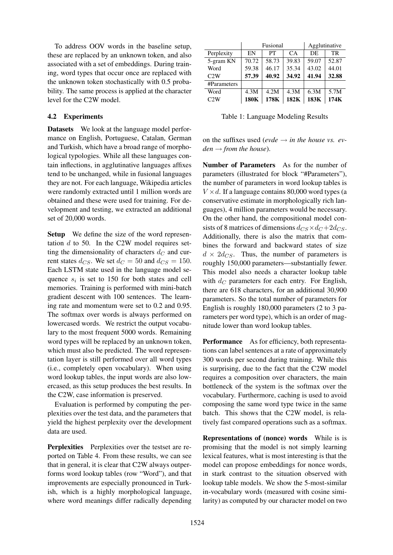To address OOV words in the baseline setup, these are replaced by an unknown token, and also associated with a set of embeddings. During training, word types that occur once are replaced with the unknown token stochastically with 0.5 probability. The same process is applied at the character level for the C2W model.

### 4.2 Experiments

Datasets We look at the language model performance on English, Portuguese, Catalan, German and Turkish, which have a broad range of morphological typologies. While all these languages contain inflections, in agglutinative languages affixes tend to be unchanged, while in fusional languages they are not. For each language, Wikipedia articles were randomly extracted until 1 million words are obtained and these were used for training. For development and testing, we extracted an additional set of 20,000 words.

Setup We define the size of the word representation  $d$  to 50. In the C2W model requires setting the dimensionality of characters  $d_C$  and current states  $d_{CS}$ . We set  $d_C = 50$  and  $d_{CS} = 150$ . Each LSTM state used in the language model sequence  $s_i$  is set to 150 for both states and cell memories. Training is performed with mini-batch gradient descent with 100 sentences. The learning rate and momentum were set to 0.2 and 0.95. The softmax over words is always performed on lowercased words. We restrict the output vocabulary to the most frequent 5000 words. Remaining word types will be replaced by an unknown token, which must also be predicted. The word representation layer is still performed over all word types (i.e., completely open vocabulary). When using word lookup tables, the input words are also lowercased, as this setup produces the best results. In the C2W, case information is preserved.

Evaluation is performed by computing the perplexities over the test data, and the parameters that yield the highest perplexity over the development data are used.

Perplexities Perplexities over the testset are reported on Table 4. From these results, we can see that in general, it is clear that C2W always outperforms word lookup tables (row "Word"), and that improvements are especially pronounced in Turkish, which is a highly morphological language, where word meanings differ radically depending

|             | Fusional |       |       | Agglutinative |       |
|-------------|----------|-------|-------|---------------|-------|
| Perplexity  | EN       | PT    | CA    | DE.           | TR    |
| 5-gram KN   | 70.72    | 58.73 | 39.83 | 59.07         | 52.87 |
| Word        | 59.38    | 46.17 | 35.34 | 43.02         | 44.01 |
| C2W         | 57.39    | 40.92 | 34.92 | 41.94         | 32.88 |
| #Parameters |          |       |       |               |       |
| Word        | 4.3M     | 4.2M  | 4.3M  | 6.3M          | 5.7M  |
| C2W         | 180K     | 178K  | 182K  | 183K          | 174K  |

Table 1: Language Modeling Results

on the suffixes used (*evde*  $\rightarrow$  *in the house vs. ev* $den \rightarrow from the house$ ).

Number of Parameters As for the number of parameters (illustrated for block "#Parameters"), the number of parameters in word lookup tables is  $V \times d$ . If a language contains 80,000 word types (a conservative estimate in morphologically rich languages), 4 million parameters would be necessary. On the other hand, the compositional model consists of 8 matrices of dimensions  $d_{CS} \times d_C + 2d_{CS}$ . Additionally, there is also the matrix that combines the forward and backward states of size  $d \times 2d_{CS}$ . Thus, the number of parameters is roughly 150,000 parameters—substantially fewer. This model also needs a character lookup table with  $d_C$  parameters for each entry. For English, there are 618 characters, for an additional 30,900 parameters. So the total number of parameters for English is roughly 180,000 parameters (2 to 3 parameters per word type), which is an order of magnitude lower than word lookup tables.

Performance As for efficiency, both representations can label sentences at a rate of approximately 300 words per second during training. While this is surprising, due to the fact that the C2W model requires a composition over characters, the main bottleneck of the system is the softmax over the vocabulary. Furthermore, caching is used to avoid composing the same word type twice in the same batch. This shows that the C2W model, is relatively fast compared operations such as a softmax.

Representations of (nonce) words While is is promising that the model is not simply learning lexical features, what is most interesting is that the model can propose embeddings for nonce words, in stark contrast to the situation observed with lookup table models. We show the 5-most-similar in-vocabulary words (measured with cosine similarity) as computed by our character model on two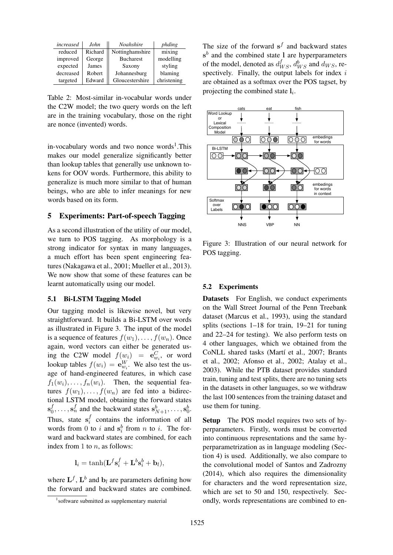| increased | John    | <b>Noahshire</b> | phding      |
|-----------|---------|------------------|-------------|
| reduced   | Richard | Nottinghamshire  | mixing      |
| improved  | George  | <b>Bucharest</b> | modelling   |
| expected  | James   | Saxony           | styling     |
| decreased | Robert  | Johannesburg     | blaming     |
| targeted  | Edward  | Gloucestershire  | christening |

Table 2: Most-similar in-vocabular words under the C2W model; the two query words on the left are in the training vocabulary, those on the right are nonce (invented) words.

in-vocabulary words and two nonce words<sup>1</sup>. This makes our model generalize significantly better than lookup tables that generally use unknown tokens for OOV words. Furthermore, this ability to generalize is much more similar to that of human beings, who are able to infer meanings for new words based on its form.

### 5 Experiments: Part-of-speech Tagging

As a second illustration of the utility of our model, we turn to POS tagging. As morphology is a strong indicator for syntax in many languages, a much effort has been spent engineering features (Nakagawa et al., 2001; Mueller et al., 2013). We now show that some of these features can be learnt automatically using our model.

#### 5.1 Bi-LSTM Tagging Model

Our tagging model is likewise novel, but very straightforward. It builds a Bi-LSTM over words as illustrated in Figure 3. The input of the model is a sequence of features  $f(w_1), \ldots, f(w_n)$ . Once again, word vectors can either be generated using the C2W model  $f(w_i) = e_{w_i}^C$ , or word lookup tables  $f(w_i) = e_{w_i}^W$ . We also test the usage of hand-engineered features, in which case  $f_1(w_i), \ldots, f_n(w_i)$ . Then, the sequential features  $f(w_1), \ldots, f(w_n)$  are fed into a bidirectional LSTM model, obtaining the forward states  $\mathbf{s}_0^f$  $\mathbf{S}_0^f, \ldots, \mathbf{S}_n^f$  and the backward states  $\mathbf{s}_{N+1}^b, \ldots, \mathbf{s}_0^b$ . Thus, state  $s_i^f$  $i$  contains the information of all words from 0 to i and  $s_i^b$  from n to i. The forward and backward states are combined, for each index from 1 to  $n$ , as follows:

$$
\mathbf{l}_i = \tanh(\mathbf{L}^f \mathbf{s}_i^f + \mathbf{L}^b \mathbf{s}_i^b + \mathbf{b}_l),
$$

where  $\mathbf{L}^{f}$ ,  $\mathbf{L}^{b}$  and  $\mathbf{b}_{l}$  are parameters defining how the forward and backward states are combined.

The size of the forward  $s^f$  and backward states  $s<sup>b</sup>$  and the combined state 1 are hyperparameters of the model, denoted as  $d_{WS}^f$ ,  $d_{WS}^b$  and  $d_{WS}$ , respectively. Finally, the output labels for index  $i$ are obtained as a softmax over the POS tagset, by projecting the combined state  $l_i$ .



Figure 3: Illustration of our neural network for POS tagging.

#### 5.2 Experiments

Datasets For English, we conduct experiments on the Wall Street Journal of the Penn Treebank dataset (Marcus et al., 1993), using the standard splits (sections 1–18 for train, 19–21 for tuning and 22–24 for testing). We also perform tests on 4 other languages, which we obtained from the CoNLL shared tasks (Martí et al., 2007; Brants et al., 2002; Afonso et al., 2002; Atalay et al., 2003). While the PTB dataset provides standard train, tuning and test splits, there are no tuning sets in the datasets in other languages, so we withdraw the last 100 sentences from the training dataset and use them for tuning.

Setup The POS model requires two sets of hyperparameters. Firstly, words must be converted into continuous representations and the same hyperparametrization as in language modeling (Section 4) is used. Additionally, we also compare to the convolutional model of Santos and Zadrozny (2014), which also requires the dimensionality for characters and the word representation size, which are set to 50 and 150, respectively. Secondly, words representations are combined to en-

<sup>1</sup> software submitted as supplementary material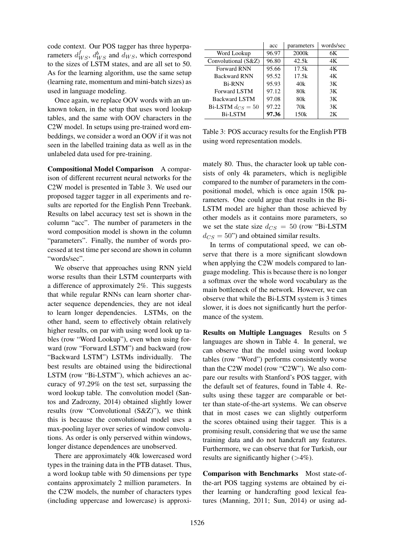code context. Our POS tagger has three hyperparameters  $d_{WS}^f$ ,  $d_{WS}^b$  and  $d_{WS}$ , which correspond to the sizes of LSTM states, and are all set to 50. As for the learning algorithm, use the same setup (learning rate, momentum and mini-batch sizes) as used in language modeling.

Once again, we replace OOV words with an unknown token, in the setup that uses word lookup tables, and the same with OOV characters in the C2W model. In setups using pre-trained word embeddings, we consider a word an OOV if it was not seen in the labelled training data as well as in the unlabeled data used for pre-training.

Compositional Model Comparison A comparison of different recurrent neural networks for the C2W model is presented in Table 3. We used our proposed tagger tagger in all experiments and results are reported for the English Penn Treebank. Results on label accuracy test set is shown in the column "acc". The number of parameters in the word composition model is shown in the column "parameters". Finally, the number of words processed at test time per second are shown in column "words/sec".

We observe that approaches using RNN yield worse results than their LSTM counterparts with a difference of approximately 2%. This suggests that while regular RNNs can learn shorter character sequence dependencies, they are not ideal to learn longer dependencies. LSTMs, on the other hand, seem to effectively obtain relatively higher results, on par with using word look up tables (row "Word Lookup"), even when using forward (row "Forward LSTM") and backward (row "Backward LSTM") LSTMs individually. The best results are obtained using the bidirectional LSTM (row "Bi-LSTM"), which achieves an accuracy of 97.29% on the test set, surpassing the word lookup table. The convolution model (Santos and Zadrozny, 2014) obtained slightly lower results (row "Convolutional (S&Z)"), we think this is because the convolutional model uses a max-pooling layer over series of window convolutions. As order is only perserved within windows, longer distance dependences are unobserved.

There are approximately 40k lowercased word types in the training data in the PTB dataset. Thus, a word lookup table with 50 dimensions per type contains approximately 2 million parameters. In the C2W models, the number of characters types (including uppercase and lowercase) is approxi-

|                       | acc   | parameters        | words/sec |
|-----------------------|-------|-------------------|-----------|
| Word Lookup           | 96.97 | 2000 <sub>k</sub> | 6K        |
| Convolutional (S&Z)   | 96.80 | 42.5k             | 4K        |
| <b>Forward RNN</b>    | 95.66 | 17.5k             | 4Κ        |
| <b>Backward RNN</b>   | 95.52 | 17.5k             | 4Κ        |
| <b>Bi-RNN</b>         | 95.93 | 40k               | 3K        |
| <b>Forward LSTM</b>   | 97.12 | 80k               | 3K        |
| <b>Backward LSTM</b>  | 97.08 | 80k               | 3K        |
| Bi-LSTM $d_{CS} = 50$ | 97.22 | 70k               | 3K        |
| <b>Bi-LSTM</b>        | 97.36 | 150k              | 2K        |

Table 3: POS accuracy results for the English PTB using word representation models.

mately 80. Thus, the character look up table consists of only 4k parameters, which is negligible compared to the number of parameters in the compositional model, which is once again 150k parameters. One could argue that results in the Bi-LSTM model are higher than those achieved by other models as it contains more parameters, so we set the state size  $d_{CS} = 50$  (row "Bi-LSTM"  $d_{CS} = 50$ ") and obtained similar results.

In terms of computational speed, we can observe that there is a more significant slowdown when applying the C2W models compared to language modeling. This is because there is no longer a softmax over the whole word vocabulary as the main bottleneck of the network. However, we can observe that while the Bi-LSTM system is 3 times slower, it is does not significantly hurt the performance of the system.

Results on Multiple Languages Results on 5 languages are shown in Table 4. In general, we can observe that the model using word lookup tables (row "Word") performs consistently worse than the C2W model (row "C2W"). We also compare our results with Stanford's POS tagger, with the default set of features, found in Table 4. Results using these tagger are comparable or better than state-of-the-art systems. We can observe that in most cases we can slightly outperform the scores obtained using their tagger. This is a promising result, considering that we use the same training data and do not handcraft any features. Furthermore, we can observe that for Turkish, our results are significantly higher  $(>4\%)$ .

Comparison with Benchmarks Most state-ofthe-art POS tagging systems are obtained by either learning or handcrafting good lexical features (Manning, 2011; Sun, 2014) or using ad-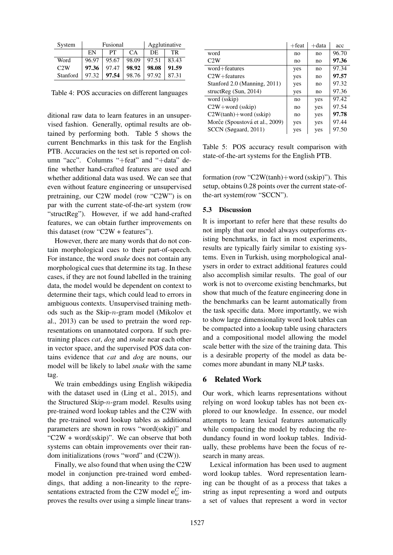| System   | Fusional |       |       | Agglutinative |       |
|----------|----------|-------|-------|---------------|-------|
|          | EN       | PТ    | CA    | DE.           | TR.   |
| Word     | 96.97    | 95.67 | 98.09 | 97.51         | 83.43 |
| C2W      | 97.36    | 97.47 | 98.92 | 98.08         | 91.59 |
| Stanford | 97.32    | 97.54 | 98.76 | 97.92         | 87.31 |

Table 4: POS accuracies on different languages

ditional raw data to learn features in an unsupervised fashion. Generally, optimal results are obtained by performing both. Table 5 shows the current Benchmarks in this task for the English PTB. Accuracies on the test set is reported on column "acc". Columns "+feat" and "+data" define whether hand-crafted features are used and whether additional data was used. We can see that even without feature engineering or unsupervised pretraining, our C2W model (row "C2W") is on par with the current state-of-the-art system (row "structReg"). However, if we add hand-crafted features, we can obtain further improvements on this dataset (row "C2W + features").

However, there are many words that do not contain morphological cues to their part-of-speech. For instance, the word *snake* does not contain any morphological cues that determine its tag. In these cases, if they are not found labelled in the training data, the model would be dependent on context to determine their tags, which could lead to errors in ambiguous contexts. Unsupervised training methods such as the Skip-n-gram model (Mikolov et al., 2013) can be used to pretrain the word representations on unannotated corpora. If such pretraining places *cat*, *dog* and *snake* near each other in vector space, and the supervised POS data contains evidence that *cat* and *dog* are nouns, our model will be likely to label *snake* with the same tag.

We train embeddings using English wikipedia with the dataset used in (Ling et al., 2015), and the Structured Skip-n-gram model. Results using pre-trained word lookup tables and the C2W with the pre-trained word lookup tables as additional parameters are shown in rows "word(sskip)" and "C2W + word(sskip)". We can observe that both systems can obtain improvements over their random initializations (rows "word" and (C2W)).

Finally, we also found that when using the C2W model in conjunction pre-trained word embeddings, that adding a non-linearity to the representations extracted from the C2W model  $\mathbf{e}_w^C$  improves the results over using a simple linear trans-

|                                | $+$ feat | +data | acc   |
|--------------------------------|----------|-------|-------|
| word                           | no       | no    | 96.70 |
| C2W                            | no       | no    | 97.36 |
| word+features                  | yes      | no    | 97.34 |
| $C2W +$ features               | yes      | no    | 97.57 |
| Stanford 2.0 (Manning, 2011)   | yes      | no    | 97.32 |
| structReg $(Sun, 2014)$        | yes      | no    | 97.36 |
| word (sskip)                   | no       | yes   | 97.42 |
| $C2W + word$ (sskip)           | no       | yes   | 97.54 |
| $C2W(tanh)+word$ (sskip)       | no       | yes   | 97.78 |
| Morče (Spoustová et al., 2009) | yes      | yes   | 97.44 |
| SCCN (Søgaard, 2011)           | yes      | yes   | 97.50 |

Table 5: POS accuracy result comparison with state-of-the-art systems for the English PTB.

formation (row "C2W(tanh)+word (sskip)"). This setup, obtains 0.28 points over the current state-ofthe-art system(row "SCCN").

#### 5.3 Discussion

It is important to refer here that these results do not imply that our model always outperforms existing benchmarks, in fact in most experiments, results are typically fairly similar to existing systems. Even in Turkish, using morphological analysers in order to extract additional features could also accomplish similar results. The goal of our work is not to overcome existing benchmarks, but show that much of the feature engineering done in the benchmarks can be learnt automatically from the task specific data. More importantly, we wish to show large dimensionality word look tables can be compacted into a lookup table using characters and a compositional model allowing the model scale better with the size of the training data. This is a desirable property of the model as data becomes more abundant in many NLP tasks.

### 6 Related Work

Our work, which learns representations without relying on word lookup tables has not been explored to our knowledge. In essence, our model attempts to learn lexical features automatically while compacting the model by reducing the redundancy found in word lookup tables. Individually, these problems have been the focus of research in many areas.

Lexical information has been used to augment word lookup tables. Word representation learning can be thought of as a process that takes a string as input representing a word and outputs a set of values that represent a word in vector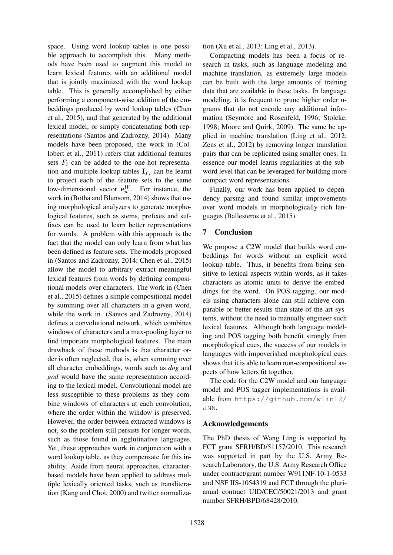space. Using word lookup tables is one possible approach to accomplish this. Many methods have been used to augment this model to learn lexical features with an additional model that is jointly maximized with the word lookup table. This is generally accomplished by either performing a component-wise addition of the embeddings produced by word lookup tables (Chen et al., 2015), and that generated by the additional lexical model, or simply concatenating both representations (Santos and Zadrozny, 2014). Many models have been proposed, the work in (Collobert et al., 2011) refers that additional features sets  $F_i$  can be added to the one-hot representation and multiple lookup tables  $\mathbf{I}_{F_i}$  can be learnt to project each of the feature sets to the same low-dimensional vector  $\mathbf{e}_w^W$ . For instance, the work in (Botha and Blunsom, 2014) shows that using morphological analyzers to generate morphological features, such as stems, prefixes and suffixes can be used to learn better representations for words. A problem with this approach is the fact that the model can only learn from what has been defined as feature sets. The models proposed in (Santos and Zadrozny, 2014; Chen et al., 2015) allow the model to arbitrary extract meaningful lexical features from words by defining compositional models over characters. The work in (Chen et al., 2015) defines a simple compositional model by summing over all characters in a given word, while the work in (Santos and Zadrozny, 2014) defines a convolutional network, which combines windows of characters and a max-pooling layer to find important morphological features. The main drawback of these methods is that character order is often neglected, that is, when summing over all character embeddings, words such as *dog* and *god* would have the same representation according to the lexical model. Convolutional model are less susceptible to these problems as they combine windows of characters at each convolution, where the order within the window is preserved. However, the order between extracted windows is not, so the problem still persists for longer words, such as those found in agglutinative languages. Yet, these approaches work in conjunction with a word lookup table, as they compensate for this inability. Aside from neural approaches, characterbased models have been applied to address multiple lexically oriented tasks, such as transliteration (Kang and Choi, 2000) and twitter normalization (Xu et al., 2013; Ling et al., 2013).

Compacting models has been a focus of research in tasks, such as language modeling and machine translation, as extremely large models can be built with the large amounts of training data that are available in these tasks. In language modeling, it is frequent to prune higher order ngrams that do not encode any additional information (Seymore and Rosenfeld, 1996; Stolcke, 1998; Moore and Quirk, 2009). The same be applied in machine translation (Ling et al., 2012; Zens et al., 2012) by removing longer translation pairs that can be replicated using smaller ones. In essence our model learns regularities at the subword level that can be leveraged for building more compact word representations.

Finally, our work has been applied to dependency parsing and found similar improvements over word models in morphologically rich languages (Ballesteros et al., 2015).

# 7 Conclusion

We propose a C2W model that builds word embeddings for words without an explicit word lookup table. Thus, it benefits from being sensitive to lexical aspects within words, as it takes characters as atomic units to derive the embeddings for the word. On POS tagging, our models using characters alone can still achieve comparable or better results than state-of-the-art systems, without the need to manually engineer such lexical features. Although both language modeling and POS tagging both benefit strongly from morphological cues, the success of our models in languages with impoverished morphological cues shows that it is able to learn non-compositional aspects of how letters fit together.

The code for the C2W model and our language model and POS tagger implementations is available from https://github.com/wlin12/ JNN.

### Acknowledgements

The PhD thesis of Wang Ling is supported by FCT grant SFRH/BD/51157/2010. This research was supported in part by the U.S. Army Research Laboratory, the U.S. Army Research Office under contract/grant number W911NF-10-1-0533 and NSF IIS-1054319 and FCT through the plurianual contract UID/CEC/50021/2013 and grant number SFRH/BPD/68428/2010.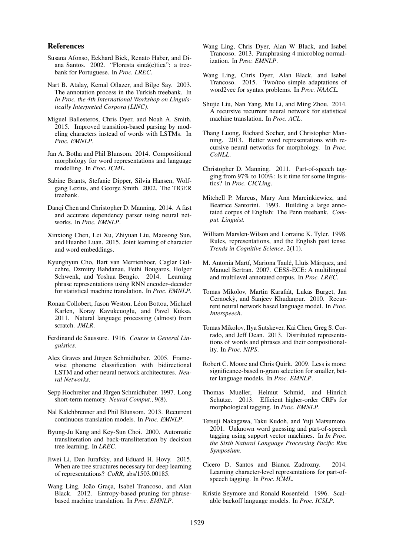#### References

- Susana Afonso, Eckhard Bick, Renato Haber, and Diana Santos. 2002. "Floresta sintá(c)tica": a treebank for Portuguese. In *Proc. LREC*.
- Nart B. Atalay, Kemal Oflazer, and Bilge Say. 2003. The annotation process in the Turkish treebank. In *In Proc. the 4th International Workshop on Linguistically Interpreted Corpora (LINC)*.
- Miguel Ballesteros, Chris Dyer, and Noah A. Smith. 2015. Improved transition-based parsing by modeling characters instead of words with LSTMs. In *Proc. EMNLP*.
- Jan A. Botha and Phil Blunsom. 2014. Compositional morphology for word representations and language modelling. In *Proc. ICML*.
- Sabine Brants, Stefanie Dipper, Silvia Hansen, Wolfgang Lezius, and George Smith. 2002. The TIGER treebank.
- Danqi Chen and Christopher D. Manning. 2014. A fast and accurate dependency parser using neural networks. In *Proc. EMNLP*.
- Xinxiong Chen, Lei Xu, Zhiyuan Liu, Maosong Sun, and Huanbo Luan. 2015. Joint learning of character and word embeddings.
- Kyunghyun Cho, Bart van Merrienboer, Caglar Gulcehre, Dzmitry Bahdanau, Fethi Bougares, Holger Schwenk, and Yoshua Bengio. 2014. Learning phrase representations using RNN encoder–decoder for statistical machine translation. In *Proc. EMNLP*.
- Ronan Collobert, Jason Weston, Léon Bottou, Michael Karlen, Koray Kavukcuoglu, and Pavel Kuksa. 2011. Natural language processing (almost) from scratch. *JMLR*.
- Ferdinand de Saussure. 1916. *Course in General Linguistics*.
- Alex Graves and Jürgen Schmidhuber. 2005. Framewise phoneme classification with bidirectional LSTM and other neural network architectures. *Neural Networks*.
- Sepp Hochreiter and Jürgen Schmidhuber. 1997. Long short-term memory. *Neural Comput.*, 9(8).
- Nal Kalchbrenner and Phil Blunsom. 2013. Recurrent continuous translation models. In *Proc. EMNLP*.
- Byung-Ju Kang and Key-Sun Choi. 2000. Automatic transliteration and back-transliteration by decision tree learning. In *LREC*.
- Jiwei Li, Dan Jurafsky, and Eduard H. Hovy. 2015. When are tree structures necessary for deep learning of representations? *CoRR*, abs/1503.00185.
- Wang Ling, João Graça, Isabel Trancoso, and Alan Black. 2012. Entropy-based pruning for phrasebased machine translation. In *Proc. EMNLP*.
- Wang Ling, Chris Dyer, Alan W Black, and Isabel Trancoso. 2013. Paraphrasing 4 microblog normalization. In *Proc. EMNLP*.
- Wang Ling, Chris Dyer, Alan Black, and Isabel Trancoso. 2015. Two/too simple adaptations of word2vec for syntax problems. In *Proc. NAACL*.
- Shujie Liu, Nan Yang, Mu Li, and Ming Zhou. 2014. A recursive recurrent neural network for statistical machine translation. In *Proc. ACL*.
- Thang Luong, Richard Socher, and Christopher Manning. 2013. Better word representations with recursive neural networks for morphology. In *Proc. CoNLL*.
- Christopher D. Manning. 2011. Part-of-speech tagging from 97% to 100%: Is it time for some linguistics? In *Proc. CICLing*.
- Mitchell P. Marcus, Mary Ann Marcinkiewicz, and Beatrice Santorini. 1993. Building a large annotated corpus of English: The Penn treebank. *Comput. Linguist.*
- William Marslen-Wilson and Lorraine K. Tyler. 1998. Rules, representations, and the English past tense. *Trends in Cognitive Science*, 2(11).
- M. Antonia Martí, Mariona Taulé, Lluís Márquez, and Manuel Bertran. 2007. CESS-ECE: A multilingual and multilevel annotated corpus. In *Proc. LREC*.
- Tomas Mikolov, Martin Karafiát, Lukas Burget, Jan Cernockỳ, and Sanjeev Khudanpur. 2010. Recurrent neural network based language model. In *Proc. Interspeech*.
- Tomas Mikolov, Ilya Sutskever, Kai Chen, Greg S. Corrado, and Jeff Dean. 2013. Distributed representations of words and phrases and their compositionality. In *Proc. NIPS*.
- Robert C. Moore and Chris Quirk. 2009. Less is more: significance-based n-gram selection for smaller, better language models. In *Proc. EMNLP*.
- Thomas Mueller, Helmut Schmid, and Hinrich Schütze. 2013. Efficient higher-order CRFs for morphological tagging. In *Proc. EMNLP*.
- Tetsuji Nakagawa, Taku Kudoh, and Yuji Matsumoto. 2001. Unknown word guessing and part-of-speech tagging using support vector machines. In *In Proc. the Sixth Natural Language Processing Pacific Rim Symposium*.
- Cicero D. Santos and Bianca Zadrozny. 2014. Learning character-level representations for part-ofspeech tagging. In *Proc. ICML*.
- Kristie Seymore and Ronald Rosenfeld. 1996. Scalable backoff language models. In *Proc. ICSLP*.